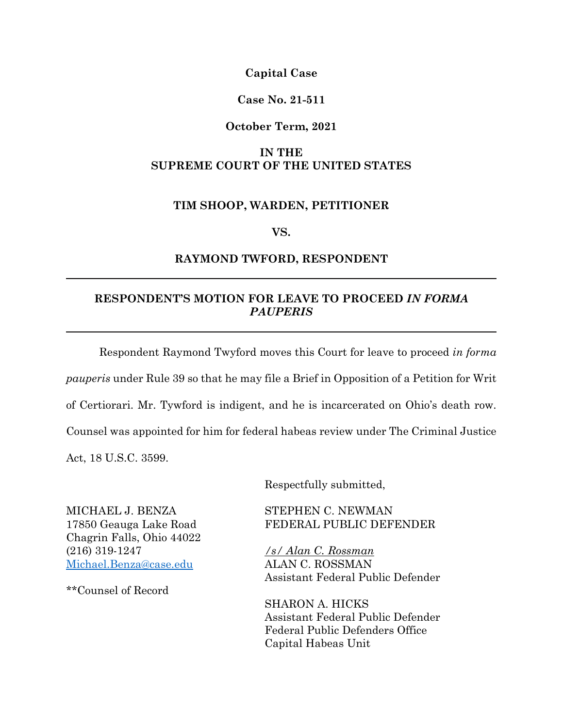**Capital Case**

### **Case No. 21-511**

#### **October Term, 2021**

## **IN THE SUPREME COURT OF THE UNITED STATES**

#### **TIM SHOOP, WARDEN, PETITIONER**

**VS.**

#### **RAYMOND TWFORD, RESPONDENT**

## **RESPONDENT'S MOTION FOR LEAVE TO PROCEED** *IN FORMA PAUPERIS*

Respondent Raymond Twyford moves this Court for leave to proceed *in forma pauperis* under Rule 39 so that he may file a Brief in Opposition of a Petition for Writ of Certiorari. Mr. Tywford is indigent, and he is incarcerated on Ohio's death row. Counsel was appointed for him for federal habeas review under The Criminal Justice Act, 18 U.S.C. 3599.

Respectfully submitted,

Chagrin Falls, Ohio 44022 (216) 319-1247 */s/ Alan C. Rossman* [Michael.Benza@case.edu](mailto:Michael.Benza@case.edu) ALAN C. ROSSMAN

\*\*Counsel of Record

MICHAEL J. BENZA STEPHEN C. NEWMAN 17850 Geauga Lake Road FEDERAL PUBLIC DEFENDER

Assistant Federal Public Defender

SHARON A. HICKS Assistant Federal Public Defender Federal Public Defenders Office Capital Habeas Unit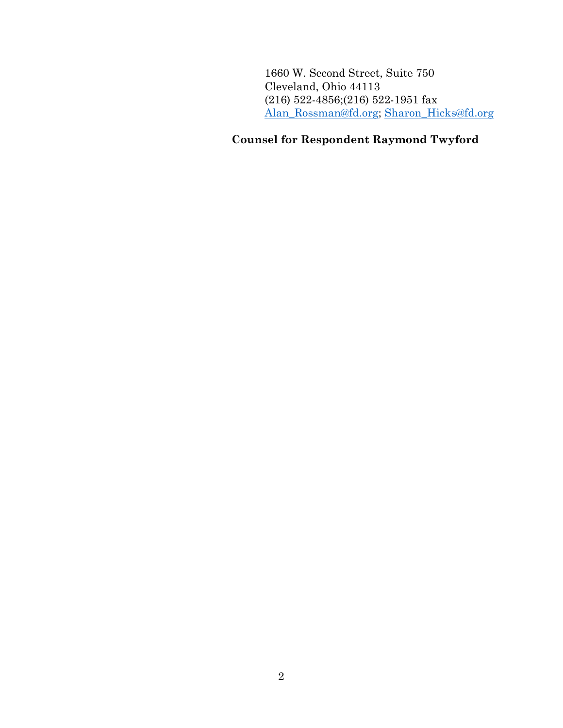1660 W. Second Street, Suite 750 Cleveland, Ohio 44113 (216) 522-4856;(216) 522-1951 fax [Alan\\_Rossman@fd.org;](mailto:Alan_Rossman@fd.org) [Sharon\\_Hicks@fd.org](mailto:Sharon_Hicks@fd.org)

## **Counsel for Respondent Raymond Twyford**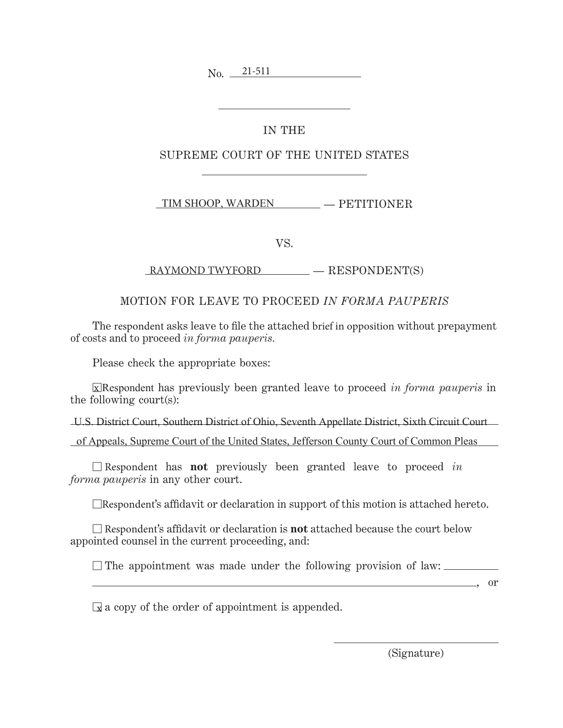No. 21-511

## IN THE

## SUPREME COURT OF THE UNITED STATES

— PETITIONER TIM SHOOP, WARDEN

VS.

— RESPONDENT(S) RAYMOND TWYFORD

## MOTION FOR LEAVE TO PROCEED *IN FORMA PAUPERIS*

The respondent asks leave to file the attached brief in opposition without prepayment of costs and to proceed *in forma pauperis.*

Please check the appropriate boxes:

-Respondent has previously been granted leave to proceed *in forma pauperis* in x the following court(s):

U.S. District Court, Southern District of Ohio, Seventh Appellate District, Sixth Circuit Court

of Appeals, Supreme Court of the United States, Jefferson County Court of Common Pleas

- Respondent has **not** previously been granted leave to proceed *in forma pauperis* in any other court.

 $\Box$ Respondent's affidavit or declaration in support of this motion is attached hereto.

- Respondent's affidavit or declaration is **not** attached because the court below appointed counsel in the current proceeding, and:

 $\square$  The appointment was made under the following provision of law:

 $\frac{\ }{}$ , or

 $\mathbb{\mathbb{R}}$  a copy of the order of appointment is appended.

(Signature)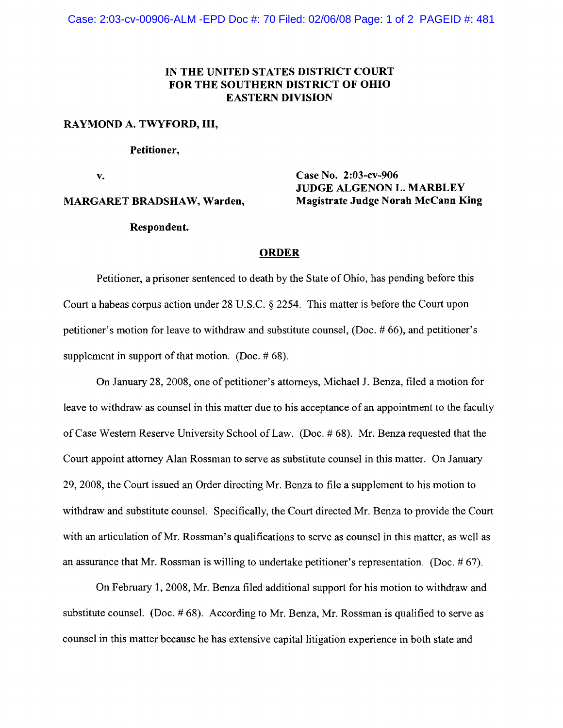Case: 2:03-cv-00906-ALM -EPD Doc #: 70 Filed: 02/06/08 Page: 1 of 2 PAGEID #: 481

## IN THE UNITED STATES DISTRICT COURT FOR THE SOUTHERN DISTRICT OF OHIO EASTERN DIVISION

#### RAYMOND A. TWYFORD, III,

#### Petitioner,

v. **Case No. 2:03-cv-906** 

#### MARGARET BRADSHAW, Warden, Magistrate Judge Norah McCann King

Respondent.

# ORDER

JUDGE ALGENON L. MARBLEY

Petitioner, a prisoner sentenced to death by the State of Ohio, has pending before this Court a habeas corpus action under 28 U.S.C. § 2254. This matter is before the Court upon petitioner's motion for leave to withdraw and substitute counsel, (Doc. # 66), and petitioner's supplement in support of that motion. (Doc.  $\# 68$ ).

On January 28, 2008, one of petitioner's attorneys, Michael J. Benza, filed a motion for leave to withdraw as counsel in this matter due to his acceptance of an appointment to the faculty ofCase Western Reserve University School ofLaw. (Doc. # 68). Mr. Benza requested that the Court appoint attorney Alan Rossman to serve as substitute counsel in this matter. On January 29,2008, the Court issued an Order directing Mr. Benza to file a supplement to his motion to withdraw and substitute counsel. Specifically, the Court directed Mr. Benza to provide the Court with an articulation of Mr. Rossman's qualifications to serve as counsel in this matter, as well as an assurance that Mr. Rossman is willing to undertake petitioner's representation. (Doc. # 67).

On February 1, 2008, Mr. Benza filed additional support for his motion to withdraw and substitute counsel. (Doc. # 68). According to Mr. Benza, Mr. Rossman is qualified to serve as counsel in this matter because he has extensive capital litigation experience in both state and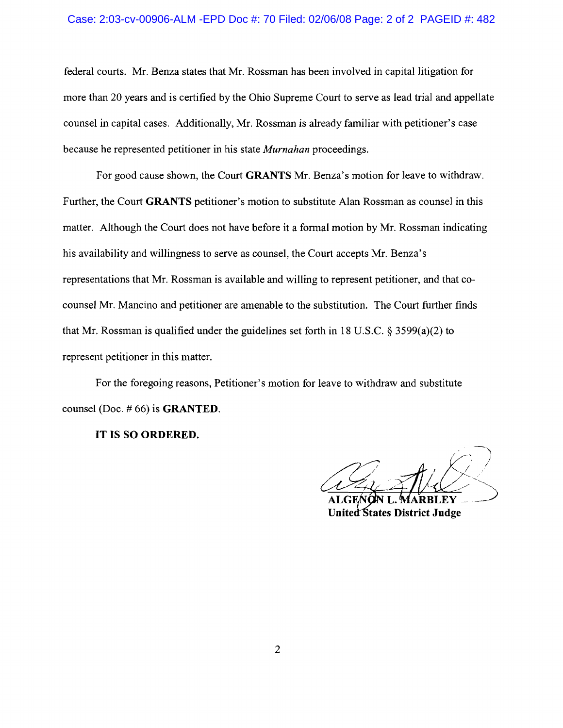#### Case: 2:03-cv-00906-ALM -EPD Doc #: 70 Filed: 02/06/08 Page: 2 of 2 PAGEID #: 482

federal courts. Mr. Benza states that Mr. Rossman has been involved in capital litigation for more than 20 years and is certified by the Ohio Supreme Court to serve as lead trial and appellate counsel in capital cases. Additionally, Mr. Rossman is already familiar with petitioner's case because he represented petitioner in his state *Murnahan* proceedings.

For good cause shown, the Court **GRANTS** Mr. Benza's motion for leave to withdraw. Further, the Court **GRANTS** petitioner's motion to substitute Alan Rossman as counsel in this matter. Although the Court does not have before it a formal motion by Mr. Rossman indicating his availability and willingness to serve as counsel, the Court accepts Mr. Benza's representations that Mr. Rossman is available and willing to represent petitioner, and that cocounsel Mr. Mancino and petitioner are amenable to the substitution. The Court further finds that Mr. Rossman is qualified under the guidelines set forth in 18 U.S.C.  $\delta$  3599(a)(2) to represent petitioner in this matter.

For the foregoing reasons, Petitioner's motion for leave to withdraw and substitute counsel (Doc. # 66) is **GRANTED.** 

**IT IS SO ORDERED.** 

N I . United States District Judge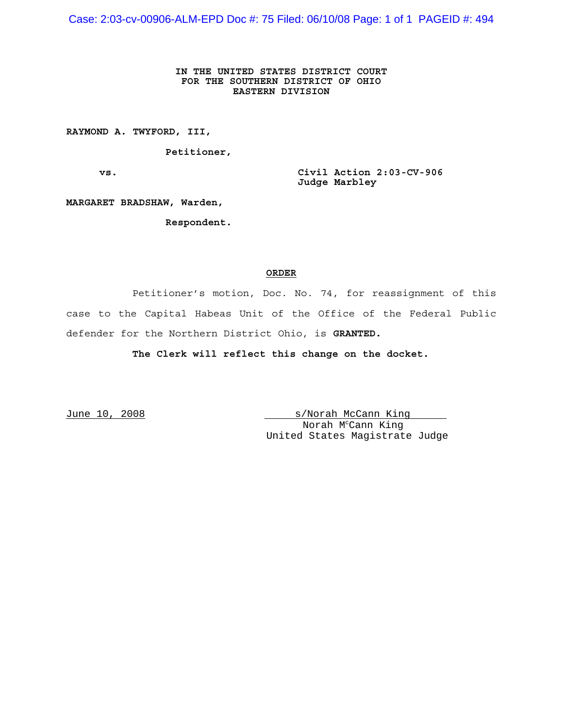Case: 2:03-cv-00906-ALM-EPD Doc #: 75 Filed: 06/10/08 Page: 1 of 1 PAGEID #: 494

#### **IN THE UNITED STATES DISTRICT COURT FOR THE SOUTHERN DISTRICT OF OHIO EASTERN DIVISION**

**RAYMOND A. TWYFORD, III,**

**Petitioner,**

**vs. Civil Action 2:03-CV-906 Judge Marbley** 

**MARGARET BRADSHAW, Warden,**

**Respondent.**

#### **ORDER**

Petitioner's motion, Doc. No. 74, for reassignment of this case to the Capital Habeas Unit of the Office of the Federal Public defender for the Northern District Ohio, is **GRANTED.** 

**The Clerk will reflect this change on the docket.** 

June 10, 2008 s/Norah McCann King Norah M<sup>c</sup>Cann King United States Magistrate Judge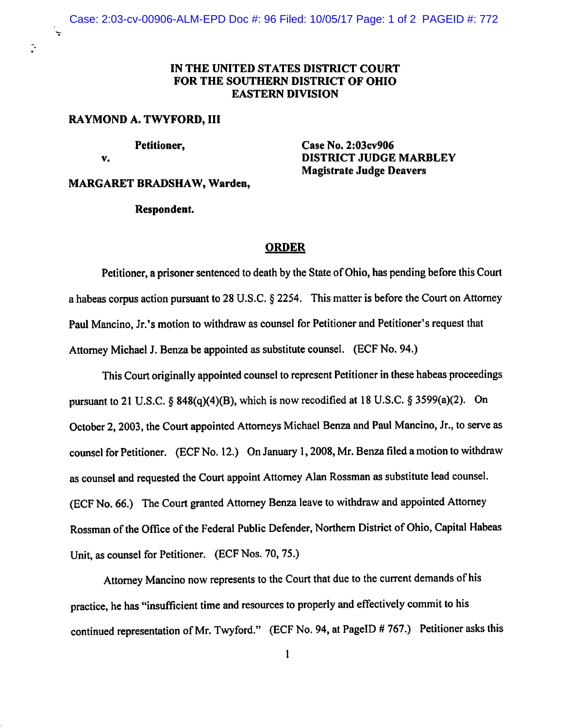## IN THE UNITED STATES DISTRICT COURT FOR THE SOUTHERN DISTRICT OF OHIO **EASTERN DIVISION**

#### RAYMOND A. TWYFORD, III

v.

Ç.

Petitioner,

Case No. 2:03cv906 **DISTRICT JUDGE MARBLEY Magistrate Judge Deavers** 

#### **MARGARET BRADSHAW, Warden,**

#### Respondent.

#### **ORDER**

Petitioner, a prisoner sentenced to death by the State of Ohio, has pending before this Court a habeas corpus action pursuant to 28 U.S.C.  $\S$  2254. This matter is before the Court on Attorney Paul Mancino, Jr.'s motion to withdraw as counsel for Petitioner and Petitioner's request that Attorney Michael J. Benza be appointed as substitute counsel. (ECF No. 94.)

This Court originally appointed counsel to represent Petitioner in these habeas proceedings pursuant to 21 U.S.C. § 848(q)(4)(B), which is now recodified at 18 U.S.C. § 3599(a)(2). On October 2, 2003, the Court appointed Attorneys Michael Benza and Paul Mancino, Jr., to serve as counsel for Petitioner. (ECF No. 12.) On January 1, 2008, Mr. Benza filed a motion to withdraw as counsel and requested the Court appoint Attorney Alan Rossman as substitute lead counsel. (ECF No. 66.) The Court granted Attorney Benza leave to withdraw and appointed Attorney Rossman of the Office of the Federal Public Defender, Northern District of Ohio, Capital Habeas Unit, as counsel for Petitioner. (ECF Nos. 70, 75.)

Attorney Mancino now represents to the Court that due to the current demands of his practice, he has "insufficient time and resources to properly and effectively commit to his continued representation of Mr. Twyford." (ECF No. 94, at PageID # 767.) Petitioner asks this